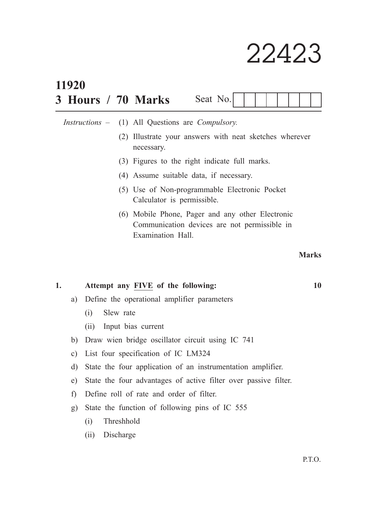## 22423

|    | 11920                                                                 |                                             |  |  |                                                                                                                       |          |  |  |  |  |  |  |    |  |              |
|----|-----------------------------------------------------------------------|---------------------------------------------|--|--|-----------------------------------------------------------------------------------------------------------------------|----------|--|--|--|--|--|--|----|--|--------------|
|    |                                                                       |                                             |  |  | 3 Hours / 70 Marks                                                                                                    | Seat No. |  |  |  |  |  |  |    |  |              |
|    |                                                                       |                                             |  |  | <i>Instructions</i> – (1) All Questions are <i>Compulsory</i> .                                                       |          |  |  |  |  |  |  |    |  |              |
|    | (2) Illustrate your answers with neat sketches wherever<br>necessary. |                                             |  |  |                                                                                                                       |          |  |  |  |  |  |  |    |  |              |
|    |                                                                       |                                             |  |  | (3) Figures to the right indicate full marks.                                                                         |          |  |  |  |  |  |  |    |  |              |
|    | (4) Assume suitable data, if necessary.                               |                                             |  |  |                                                                                                                       |          |  |  |  |  |  |  |    |  |              |
|    |                                                                       |                                             |  |  | (5) Use of Non-programmable Electronic Pocket<br>Calculator is permissible.                                           |          |  |  |  |  |  |  |    |  |              |
|    |                                                                       |                                             |  |  | (6) Mobile Phone, Pager and any other Electronic<br>Communication devices are not permissible in<br>Examination Hall. |          |  |  |  |  |  |  |    |  |              |
|    |                                                                       |                                             |  |  |                                                                                                                       |          |  |  |  |  |  |  |    |  | <b>Marks</b> |
| 1. |                                                                       | Attempt any FIVE of the following:          |  |  |                                                                                                                       |          |  |  |  |  |  |  | 10 |  |              |
|    | a)                                                                    | Define the operational amplifier parameters |  |  |                                                                                                                       |          |  |  |  |  |  |  |    |  |              |
|    | Slew rate<br>(i)                                                      |                                             |  |  |                                                                                                                       |          |  |  |  |  |  |  |    |  |              |
|    |                                                                       | (ii)                                        |  |  | Input bias current                                                                                                    |          |  |  |  |  |  |  |    |  |              |

- b) Draw wien bridge oscillator circuit using IC 741
- c) List four specification of IC LM324
- d) State the four application of an instrumentation amplifier.
- e) State the four advantages of active filter over passive filter.
- f) Define roll of rate and order of filter.
- g) State the function of following pins of IC 555
	- (i) Threshhold
	- (ii) Discharge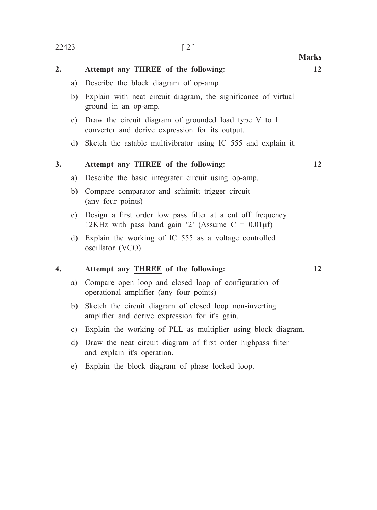| 2. |               | Attempt any THREE of the following:                                                                                     | 12 |
|----|---------------|-------------------------------------------------------------------------------------------------------------------------|----|
|    | a)            | Describe the block diagram of op-amp                                                                                    |    |
|    | b)            | Explain with neat circuit diagram, the significance of virtual<br>ground in an op-amp.                                  |    |
|    | $\mathbf{c})$ | Draw the circuit diagram of grounded load type V to I<br>converter and derive expression for its output.                |    |
|    | $\mathbf{d}$  | Sketch the astable multivibrator using IC 555 and explain it.                                                           |    |
| 3. |               | Attempt any THREE of the following:                                                                                     | 12 |
|    | a)            | Describe the basic integrater circuit using op-amp.                                                                     |    |
|    | b)            | Compare comparator and schimitt trigger circuit<br>(any four points)                                                    |    |
|    | c)            | Design a first order low pass filter at a cut off frequency<br>12KHz with pass band gain '2' (Assume $C = 0.01 \mu f$ ) |    |
|    | d)            | Explain the working of IC 555 as a voltage controlled<br>oscillator (VCO)                                               |    |
| 4. |               | Attempt any THREE of the following:                                                                                     | 12 |
|    | a)            | Compare open loop and closed loop of configuration of<br>operational amplifier (any four points)                        |    |
|    | b)            | Sketch the circuit diagram of closed loop non-inverting<br>amplifier and derive expression for it's gain.               |    |

- c) Explain the working of PLL as multiplier using block diagram.
- d) Draw the neat circuit diagram of first order highpass filter and explain it's operation.
- e) Explain the block diagram of phase locked loop.